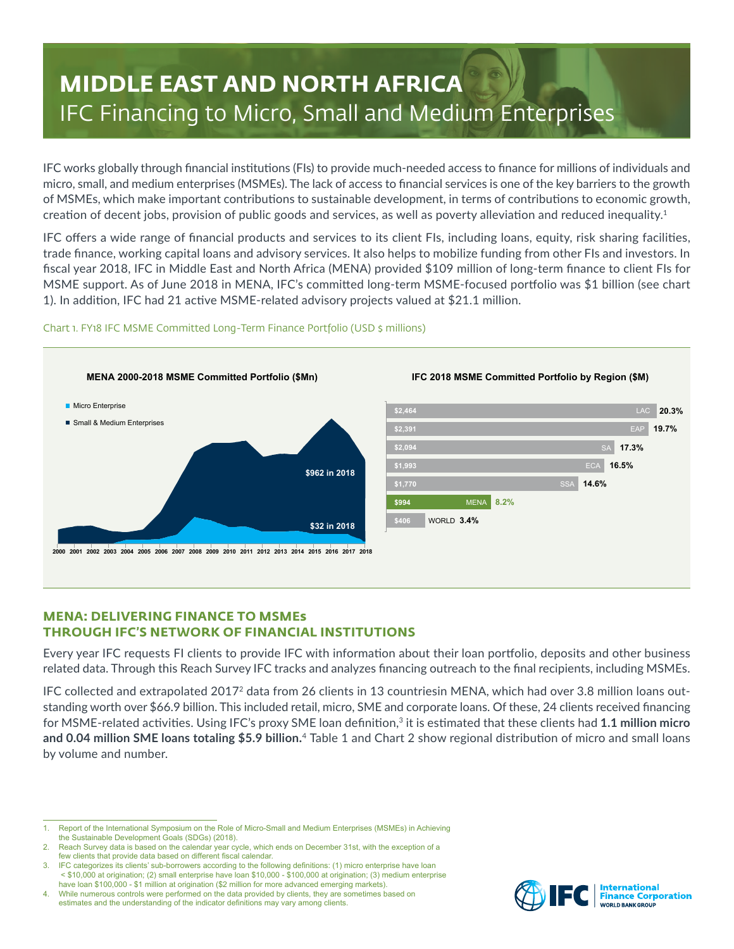# **MIDDLE EAST AND NORTH AFRICA** IFC Financing to Micro, Small and Medium Enterprises

IFC works globally through financial institutions (FIs) to provide much-needed access to finance for millions of individuals and micro, small, and medium enterprises (MSMEs). The lack of access to financial services is one of the key barriers to the growth of MSMEs, which make important contributions to sustainable development, in terms of contributions to economic growth, creation of decent jobs, provision of public goods and services, as well as poverty alleviation and reduced inequality.<sup>1</sup>

IFC offers a wide range of financial products and services to its client FIs, including loans, equity, risk sharing facilities, trade finance, working capital loans and advisory services. It also helps to mobilize funding from other FIs and investors. In fiscal year 2018, IFC in Middle East and North Africa (MENA) provided \$109 million of long-term finance to client FIs for MSME support. As of June 2018 in MENA, IFC's committed long-term MSME-focused portfolio was \$1 billion (see chart 1). In addition, IFC had 21 active MSME-related advisory projects valued at \$21.1 million.



## Chart 1. FY18 IFC MSME Committed Long-Term Finance Portfolio (USD \$ millions)

# **MENA: DELIVERING FINANCE TO MSMEs THROUGH IFC'S NETWORK OF FINANCIAL INSTITUTIONS**

Every year IFC requests FI clients to provide IFC with information about their loan portfolio, deposits and other business related data. Through this Reach Survey IFC tracks and analyzes financing outreach to the final recipients, including MSMEs.

IFC collected and extrapolated 20172 data from 26 clients in 13 countriesin MENA, which had over 3.8 million loans outstanding worth over \$66.9 billion. This included retail, micro, SME and corporate loans. Of these, 24 clients received financing for MSME-related activities. Using IFC's proxy SME loan definition,<sup>3</sup> it is estimated that these clients had 1.1 million micro **and 0.04 million SME loans totaling \$5.9 billion.** <sup>4</sup> Table 1 and Chart 2 show regional distribution of micro and small loans by volume and number.



<sup>1.</sup> Report of the International Symposium on the Role of Micro-Small and Medium Enterprises (MSMEs) in Achieving the Sustainable Development Goals (SDGs) (2018).

Reach Survey data is based on the calendar year cycle, which ends on December 31st, with the exception of a few clients that provide data based on different fiscal calendar.

<sup>3.</sup> IFC categorizes its clients' sub-borrowers according to the following definitions: (1) micro enterprise have loan < \$10,000 at origination; (2) small enterprise have loan \$10,000 - \$100,000 at origination; (3) medium enterprise have loan \$100,000 - \$1 million at origination (\$2 million for more advanced emerging markets).

<sup>4.</sup> While numerous controls were performed on the data provided by clients, they are sometimes based on estimates and the understanding of the indicator definitions may vary among clients.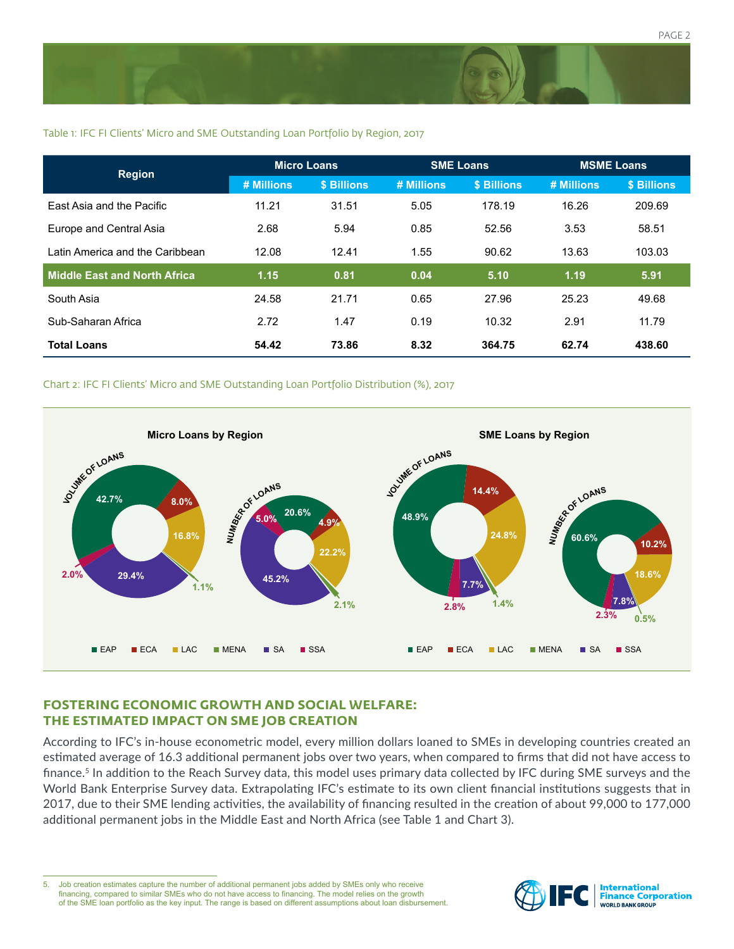

## Table 1: IFC FI Clients' Micro and SME Outstanding Loan Portfolio by Region, 2017

| <b>Region</b>                    | <b>Micro Loans</b> |             | <b>SME Loans</b> |             | <b>MSME Loans</b> |             |
|----------------------------------|--------------------|-------------|------------------|-------------|-------------------|-------------|
|                                  | # Millions         | \$ Billions | # Millions       | \$ Billions | # Millions        | \$ Billions |
| <b>East Asia and the Pacific</b> | 11.21              | 31.51       | 5.05             | 178.19      | 16.26             | 209.69      |
| Europe and Central Asia          | 2.68               | 5.94        | 0.85             | 52.56       | 3.53              | 58.51       |
| Latin America and the Caribbean  | 12.08              | 12.41       | 1.55             | 90.62       | 13.63             | 103.03      |
| Middle East and North Africa     | 1.15               | 0.81        | 0.04             | 5.10        | 1.19              | 5.91        |
| South Asia                       | 24.58              | 21.71       | 0.65             | 27.96       | 25.23             | 49.68       |
| Sub-Saharan Africa               | 2.72               | 1.47        | 0.19             | 10.32       | 2.91              | 11.79       |
| <b>Total Loans</b>               | 54.42              | 73.86       | 8.32             | 364.75      | 62.74             | 438.60      |

#### Chart 2: IFC FI Clients' Micro and SME Outstanding Loan Portfolio Distribution (%), 2017



# **FOSTERING ECONOMIC GROWTH AND SOCIAL WELFARE: THE ESTIMATED IMPACT ON SME JOB CREATION**

According to IFC's in-house econometric model, every million dollars loaned to SMEs in developing countries created an estimated average of 16.3 additional permanent jobs over two years, when compared to firms that did not have access to finance.<sup>5</sup> In addition to the Reach Survey data, this model uses primary data collected by IFC during SME surveys and the World Bank Enterprise Survey data. Extrapolating IFC's estimate to its own client financial institutions suggests that in 2017, due to their SME lending activities, the availability of financing resulted in the creation of about 99,000 to 177,000 additional permanent jobs in the Middle East and North Africa (see Table 1 and Chart 3).

5. Job creation estimates capture the number of additional permanent jobs added by SMEs only who receive financing, compared to similar SMEs who do not have access to financing. The model relies on the growth of the SME loan portfolio as the key input. The range is based on different assumptions about loan disbursement.

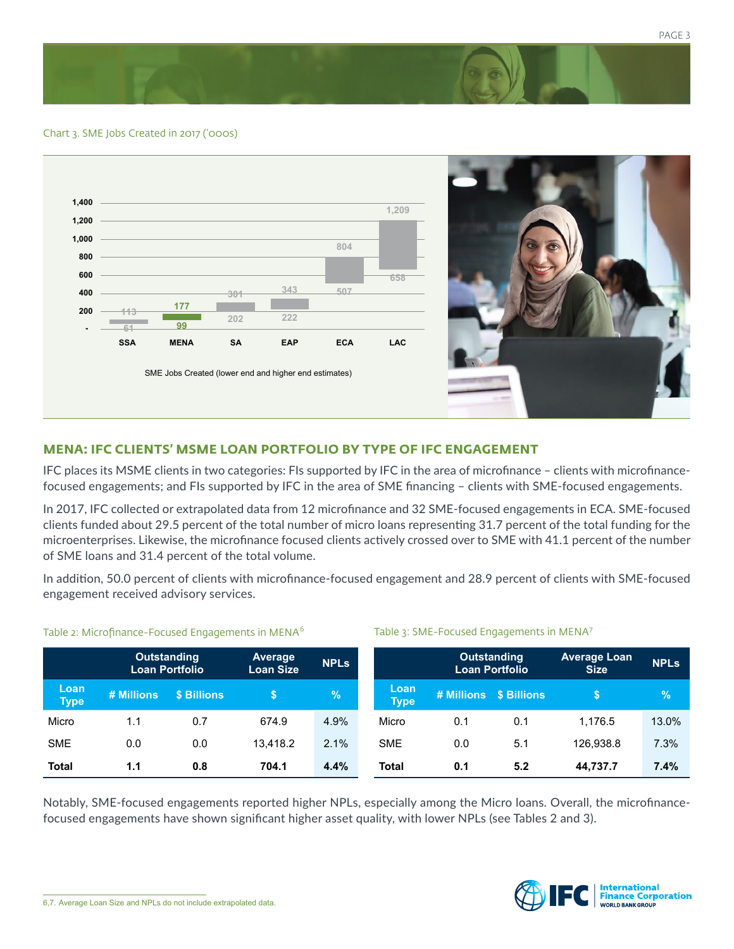Chart 3. SME Jobs Created in 2017 ('000s)



# **MENA: IFC CLIENTS' MSME LOAN PORTFOLIO BY TYPE OF IFC ENGAGEMENT**

IFC places its MSME clients in two categories: FIs supported by IFC in the area of microfinance – clients with microfinancefocused engagements; and FIs supported by IFC in the area of SME financing – clients with SME-focused engagements.

In 2017, IFC collected or extrapolated data from 12 microfinance and 32 SME-focused engagements in ECA. SME-focused clients funded about 29.5 percent of the total number of micro loans representing 31.7 percent of the total funding for the microenterprises. Likewise, the microfinance focused clients actively crossed over to SME with 41.1 percent of the number of SME loans and 31.4 percent of the total volume.

In addition, 50.0 percent of clients with microfinance-focused engagement and 28.9 percent of clients with SME-focused engagement received advisory services.

Table 3: SME-Focused Engagements in MENA<sup>7</sup>

|                     | <b>Outstanding</b><br><b>Loan Portfolio</b> |             | <b>Average</b><br><b>Loan Size</b> | <b>NPLS</b> |                     | <b>Outstanding</b><br><b>Loan Portfolio</b> |                        | <b>Average Loan</b><br><b>Size</b> | <b>NPLs</b> |
|---------------------|---------------------------------------------|-------------|------------------------------------|-------------|---------------------|---------------------------------------------|------------------------|------------------------------------|-------------|
| Loan<br><b>Type</b> | # Millions                                  | \$ Billions |                                    | $\%$        | Loan<br><b>Type</b> |                                             | # Millions \$ Billions | \$                                 | $\sqrt{2}$  |
| Micro               | 1.1                                         | 0.7         | 674.9                              | 4.9%        | Micro               | 0.1                                         | 0.1                    | 1.176.5                            | 13.0%       |
| <b>SME</b>          | 0.0                                         | 0.0         | 13.418.2                           | 2.1%        | <b>SME</b>          | 0.0                                         | 5.1                    | 126.938.8                          | 7.3%        |
| <b>Total</b>        | 1.1                                         | 0.8         | 704.1                              | 4.4%        | <b>Total</b>        | 0.1                                         | 5.2                    | 44,737.7                           | 7.4%        |

#### Table 2: Microfinance-Focused Engagements in MENA<sup>6</sup>

Notably, SME-focused engagements reported higher NPLs, especially among the Micro loans. Overall, the microfinancefocused engagements have shown significant higher asset quality, with lower NPLs (see Tables 2 and 3).

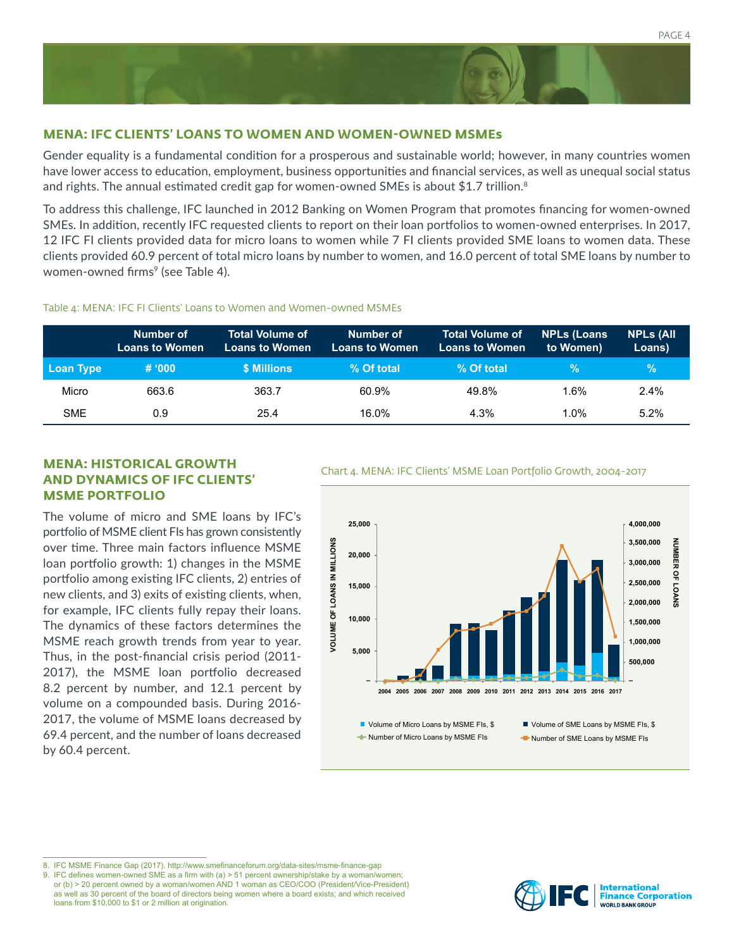# **MENA: IFC CLIENTS' LOANS TO WOMEN AND WOMEN-OWNED MSMEs**

Gender equality is a fundamental condition for a prosperous and sustainable world; however, in many countries women have lower access to education, employment, business opportunities and financial services, as well as unequal social status and rights. The annual estimated credit gap for women-owned SMEs is about \$1.7 trillion.<sup>8</sup>

To address this challenge, IFC launched in 2012 Banking on Women Program that promotes financing for women-owned SMEs. In addition, recently IFC requested clients to report on their loan portfolios to women-owned enterprises. In 2017, 12 IFC FI clients provided data for micro loans to women while 7 FI clients provided SME loans to women data. These clients provided 60.9 percent of total micro loans by number to women, and 16.0 percent of total SME loans by number to women-owned firms<sup>9</sup> (see Table 4).

#### Table 4: MENA: IFC FI Clients' Loans to Women and Women-owned MSMEs

|            | Number of<br><b>Loans to Women</b> | <b>Total Volume of</b><br><b>Loans to Women</b> | Number of<br><b>Loans to Women</b> | <b>Total Volume of</b><br>Loans to Women' | <b>NPLs (Loans)</b><br>to Women) | <b>NPLS (All</b><br>Loans) |
|------------|------------------------------------|-------------------------------------------------|------------------------------------|-------------------------------------------|----------------------------------|----------------------------|
| Loan Type  | # 000                              | \$ Millions                                     | % Of total                         | % Of total                                | $\%$                             | $\frac{6}{6}$              |
| Micro      | 663.6                              | 363.7                                           | 60.9%                              | 49.8%                                     | 1.6%                             | $2.4\%$                    |
| <b>SME</b> | 0.9                                | 25.4                                            | 16.0%                              | 4.3%                                      | 1.0%                             | 5.2%                       |

# **MENA: HISTORICAL GROWTH** Chart 4. MENA: IFC Clients' MSME Loan Portfolio Growth, 2004-2017 **AND DYNAMICS OF IFC CLIENTS' MSME PORTFOLIO**

The volume of micro and SME loans by IFC's portfolio of MSME client FIs has grown consistently over time. Three main factors influence MSME loan portfolio growth: 1) changes in the MSME portfolio among existing IFC clients, 2) entries of new clients, and 3) exits of existing clients, when, for example, IFC clients fully repay their loans. The dynamics of these factors determines the MSME reach growth trends from year to year. Thus, in the post-financial crisis period (2011- 2017), the MSME loan portfolio decreased 8.2 percent by number, and 12.1 percent by volume on a compounded basis. During 2016- 2017, the volume of MSME loans decreased by 69.4 percent, and the number of loans decreased by 60.4 percent.



8. IFC MSME Finance Gap (2017). http://www.smefinanceforum.org/data-sites/msme-finance-gap

9. IFC defines women-owned SME as a firm with (a) > 51 percent ownership/stake by a woman/women; or (b) > 20 percent owned by a woman/women AND 1 woman as CEO/COO (President/Vice-President) as well as 30 percent of the board of directors being women where a board exists; and which received loans from \$10,000 to \$1 or 2 million at origination.

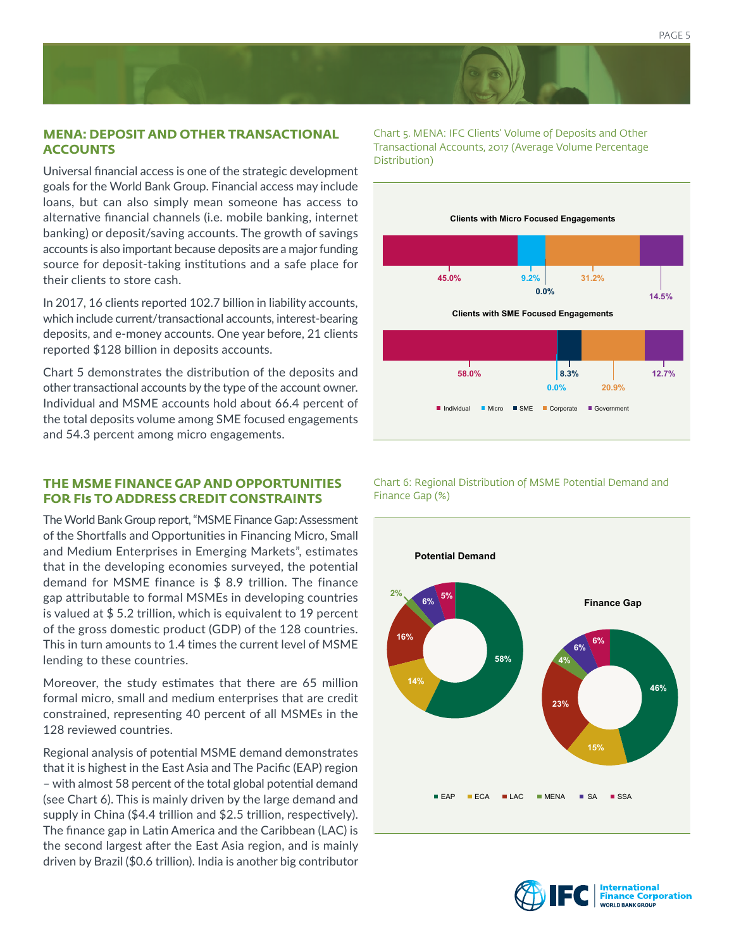# **MENA: DEPOSIT AND OTHER TRANSACTIONAL ACCOUNTS**

Universal financial access is one of the strategic development goals for the World Bank Group. Financial access may include loans, but can also simply mean someone has access to alternative financial channels (i.e. mobile banking, internet banking) or deposit/saving accounts. The growth of savings accounts is also important because deposits are a major funding source for deposit-taking institutions and a safe place for their clients to store cash.

In 2017, 16 clients reported 102.7 billion in liability accounts, which include current/transactional accounts, interest-bearing deposits, and e-money accounts. One year before, 21 clients reported \$128 billion in deposits accounts.

Chart 5 demonstrates the distribution of the deposits and other transactional accounts by the type of the account owner. Individual and MSME accounts hold about 66.4 percent of the total deposits volume among SME focused engagements and 54.3 percent among micro engagements.

# **THE MSME FINANCE GAP AND OPPORTUNITIES FOR FIs TO ADDRESS CREDIT CONSTRAINTS**

The World Bank Group report, "MSME Finance Gap: Assessment of the Shortfalls and Opportunities in Financing Micro, Small and Medium Enterprises in Emerging Markets", estimates that in the developing economies surveyed, the potential demand for MSME finance is \$ 8.9 trillion. The finance gap attributable to formal MSMEs in developing countries is valued at \$ 5.2 trillion, which is equivalent to 19 percent of the gross domestic product (GDP) of the 128 countries. This in turn amounts to 1.4 times the current level of MSME lending to these countries.

Moreover, the study estimates that there are 65 million formal micro, small and medium enterprises that are credit constrained, representing 40 percent of all MSMEs in the 128 reviewed countries.

Regional analysis of potential MSME demand demonstrates that it is highest in the East Asia and The Pacific (EAP) region – with almost 58 percent of the total global potential demand (see Chart 6). This is mainly driven by the large demand and supply in China (\$4.4 trillion and \$2.5 trillion, respectively). The finance gap in Latin America and the Caribbean (LAC) is the second largest after the East Asia region, and is mainly driven by Brazil (\$0.6 trillion). India is another big contributor Chart 5. MENA: IFC Clients' Volume of Deposits and Other Transactional Accounts, 2017 (Average Volume Percentage Distribution)



Chart 6: Regional Distribution of MSME Potential Demand and Finance Gap (%)